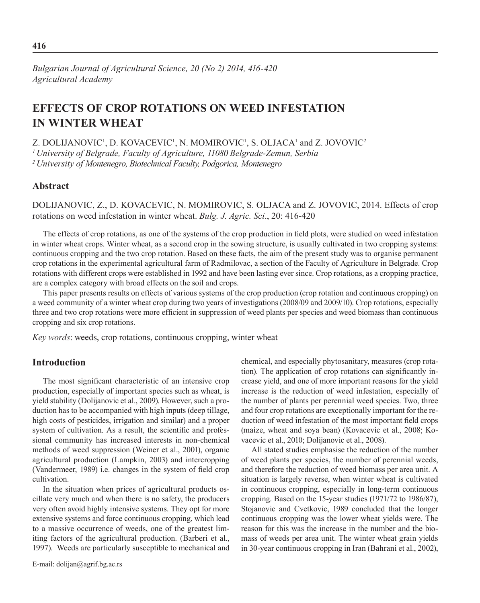*Bulgarian Journal of Agricultural Science, 20 (No 2) 2014, 416-420 Agricultural Academy*

# **Effects of crop rotations on weed infestation in winter wheat**

Z. DOLIJANOVIC<sup>1</sup>, D. KOVACEVIC<sup>1</sup>, N. MOMIROVIC<sup>1</sup>, S. OLJACA<sup>1</sup> and Z. JOVOVIC<sup>2</sup>

*1 University of Belgrade, Faculty of Agriculture, 11080 Belgrade-Zemun, Serbia* 

*2 University of Montenegro, Biotechnical Faculty, Podgorica, Montenegro*

## **Abstract**

Dolijanovic, Z., D. Kovacevic, N. Momirovic, S. Oljaca and Z. Jovovic, 2014. Effects of crop rotations on weed infestation in winter wheat. *Bulg. J. Agric. Sci*., 20: 416-420

The effects of crop rotations, as one of the systems of the crop production in field plots, were studied on weed infestation in winter wheat crops. Winter wheat, as a second crop in the sowing structure, is usually cultivated in two cropping systems: continuous cropping and the two crop rotation. Based on these facts, the aim of the present study was to organise permanent crop rotations in the experimental agricultural farm of Radmilovac, a section of the Faculty of Agriculture in Belgrade. Crop rotations with different crops were established in 1992 and have been lasting ever since. Crop rotations, as a cropping practice, are a complex category with broad effects on the soil and crops.

This paper presents results on effects of various systems of the crop production (crop rotation and continuous cropping) on a weed community of a winter wheat crop during two years of investigations (2008/09 and 2009/10). Crop rotations, especially three and two crop rotations were more efficient in suppression of weed plants per species and weed biomass than continuous cropping and six crop rotations.

*Key words*: weeds, crop rotations, continuous cropping, winter wheat

## **Introduction**

The most significant characteristic of an intensive crop production, especially of important species such as wheat, is yield stability (Dolijanovic et al., 2009). However, such a production has to be accompanied with high inputs (deep tillage, high costs of pesticides, irrigation and similar) and a proper system of cultivation. As a result, the scientific and professional community has increased interests in non-chemical methods of weed suppression (Weiner et al., 2001), organic agricultural production (Lampkin, 2003) and intercropping (Vandermeer, 1989) i.e. changes in the system of field crop cultivation.

In the situation when prices of agricultural products oscillate very much and when there is no safety, the producers very often avoid highly intensive systems. They opt for more extensive systems and force continuous cropping, which lead to a massive occurrence of weeds, one of the greatest limiting factors of the agricultural production. (Barberi et al., 1997). Weeds are particularly susceptible to mechanical and chemical, and especially phytosanitary, measures (crop rotation). The application of crop rotations can significantly increase yield, and one of more important reasons for the yield increase is the reduction of weed infestation, especially of the number of plants per perennial weed species. Two, three and four crop rotations are exceptionally important for the reduction of weed infestation of the most important field crops (maize, wheat and soya bean) (Kovacevic et al., 2008; Kovacevic et al., 2010; Dolijanovic et al., 2008).

All stated studies emphasise the reduction of the number of weed plants per species, the number of perennial weeds, and therefore the reduction of weed biomass per area unit. A situation is largely reverse, when winter wheat is cultivated in continuous cropping, especially in long-term continuous cropping. Based on the 15-year studies (1971/72 to 1986/87), Stojanovic and Cvetkovic, 1989 concluded that the longer continuous cropping was the lower wheat yields were. The reason for this was the increase in the number and the biomass of weeds per area unit. The winter wheat grain yields in 30-year continuous cropping in Iran (Bahrani et al., 2002),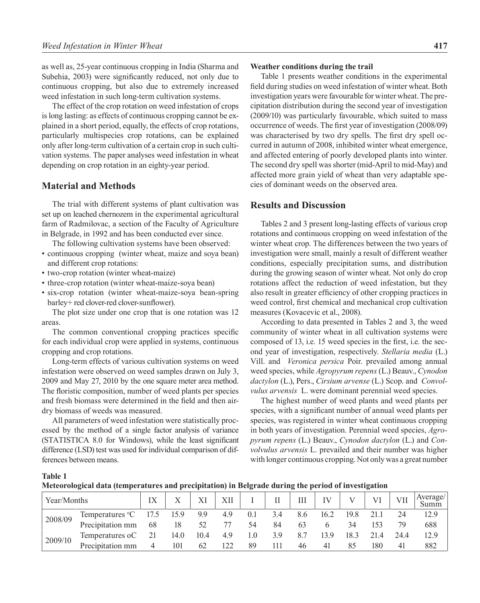as well as, 25-year continuous cropping in India (Sharma and Subehia, 2003) were significantly reduced, not only due to continuous cropping, but also due to extremely increased weed infestation in such long-term cultivation systems.

The effect of the crop rotation on weed infestation of crops is long lasting: as effects of continuous cropping cannot be explained in a short period, equally, the effects of crop rotations, particularly multispecies crop rotations, can be explained only after long-term cultivation of a certain crop in such cultivation systems. The paper analyses weed infestation in wheat depending on crop rotation in an eighty-year period.

## **Material and Methods**

The trial with different systems of plant cultivation was set up on leached chernozem in the experimental agricultural farm of Radmilovac, a section of the Faculty of Agriculture in Belgrade, in 1992 and has been conducted ever since.

The following cultivation systems have been observed:

- continuous cropping (winter wheat, maize and soya bean) and different crop rotations:
- two-crop rotation (winter wheat-maize)
- three-crop rotation (winter wheat-maize-soya bean)
- six-crop rotation (winter wheat-maize-soya bean-spring barley+ red clover-red clover-sunflower).

The plot size under one crop that is one rotation was 12 areas.

The common conventional cropping practices specific for each individual crop were applied in systems, continuous cropping and crop rotations.

Long-term effects of various cultivation systems on weed infestation were observed on weed samples drawn on July 3, 2009 and May 27, 2010 by the one square meter area method. The floristic composition, number of weed plants per species and fresh biomass were determined in the field and then airdry biomass of weeds was measured.

All parameters of weed infestation were statistically processed by the method of a single factor analysis of variance (STATISTICA 8.0 for Windows), while the least significant difference (LSD) test was used for individual comparison of differences between means.

#### **Weather conditions during the trail**

Table 1 presents weather conditions in the experimental field during studies on weed infestation of winter wheat. Both investigation years were favourable for winter wheat. The precipitation distribution during the second year of investigation (2009/10) was particularly favourable, which suited to mass occurrence of weeds. The first year of investigation (2008/09) was characterised by two dry spells. The first dry spell occurred in autumn of 2008, inhibited winter wheat emergence, and affected entering of poorly developed plants into winter. The second dry spell was shorter (mid-April to mid-May) and affected more grain yield of wheat than very adaptable species of dominant weeds on the observed area.

## **Results and Discussion**

Tables 2 and 3 present long-lasting effects of various crop rotations and continuous cropping on weed infestation of the winter wheat crop. The differences between the two years of investigation were small, mainly a result of different weather conditions, especially precipitation sums, and distribution during the growing season of winter wheat. Not only do crop rotations affect the reduction of weed infestation, but they also result in greater efficiency of other cropping practices in weed control, first chemical and mechanical crop cultivation measures (Kovacevic et al., 2008).

According to data presented in Tables 2 and 3, the weed community of winter wheat in all cultivation systems were composed of 13, i.e. 15 weed species in the first, i.e. the second year of investigation, respectively. *Stellaria media* (L.) Vill. and *Veronica persica* Poir. prevailed among annual weed species, while *Agropyrum repens* (L.) Beauv., *Cynodon dactylon* (L.), Pers., *Cirsium arvense* (L.) Scop. and *Convolvulus arvensis* L. were dominant perennial weed species.

The highest number of weed plants and weed plants per species, with a significant number of annual weed plants per species, was registered in winter wheat continuous cropping in both years of investigation. Perennial weed species, *Agropyrum repens* (L.) Beauv., *Cynodon dactylon* (L.) and *Convolvulus arvensis* L. prevailed and their number was higher with longer continuous cropping. Not only was a great number

#### **Table 1**

**Meteorological data (temperatures and precipitation) in Belgrade during the period of investigation**

| Year/Months |                             | IX   |      |      | XII |     | H   | Ш   | IV   |      | VI   | VH   | Average/ |
|-------------|-----------------------------|------|------|------|-----|-----|-----|-----|------|------|------|------|----------|
| 2008/09     | Temperatures <sup>o</sup> C | 17.5 | 15.9 | 9.9  | 4.9 | 0.1 | 3.4 | 8.6 | 16.2 | 19.8 |      | 24   | 12.9     |
|             | Precipitation mm            | 68   | 18   | 52   | 77  | 54  | 84  | 63  |      | 34   | 153  | 79   | 688      |
| 2009/10     | Temperatures oC             | 21   | 14.0 | 10.4 | 4.9 | 1.0 | 3.9 | 8.7 | 139  | 18.3 | 21.4 | 24.4 | 12.9     |
|             | Precipitation mm            | 4    | 101  | 62   | 122 | 89  | 111 | 46  | 41   | 85   | 180  | 41   | 882      |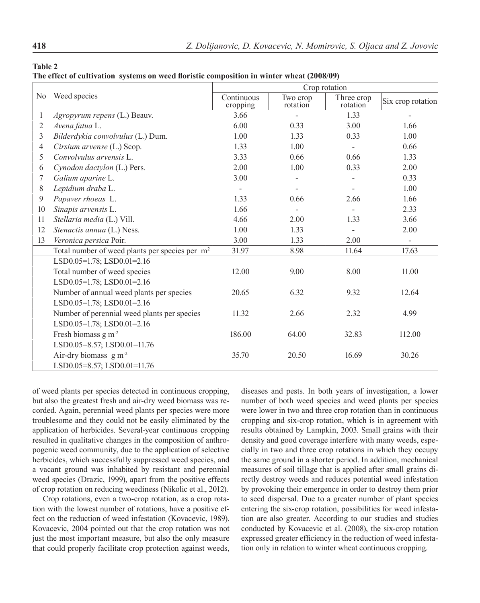**Table 2 The effect of cultivation systems on weed floristic composition in winter wheat (2008/09)**

|                |                                                            | Crop rotation            |                      |                        |                   |  |  |  |
|----------------|------------------------------------------------------------|--------------------------|----------------------|------------------------|-------------------|--|--|--|
| N <sub>0</sub> | Weed species                                               | Continuous<br>cropping   | Two crop<br>rotation | Three crop<br>rotation | Six crop rotation |  |  |  |
| $\mathbf{1}$   | Agropyrum repens (L.) Beauv.                               | 3.66                     |                      | 1.33                   |                   |  |  |  |
| 2              | Avena fatua L.                                             | 6.00                     | 0.33                 | 3.00                   | 1.66              |  |  |  |
| 3              | Bilderdykia convolvulus (L.) Dum.                          | 1.00                     | 1.33                 | 0.33                   | 1.00              |  |  |  |
| $\overline{4}$ | Cirsium arvense (L.) Scop.                                 | 1.33                     | 1.00                 |                        | 0.66              |  |  |  |
| 5              | Convolvulus arvensis L.                                    | 3.33                     | 0.66                 | 0.66                   | 1.33              |  |  |  |
| 6              | Cynodon dactylon (L.) Pers.                                | 2.00                     | 1.00                 | 0.33                   | 2.00              |  |  |  |
| 7              | Galium aparine L.                                          | 3.00                     |                      |                        | 0.33              |  |  |  |
| $8\,$          | Lepidium draba L.                                          | $\overline{\phantom{0}}$ |                      |                        | 1.00              |  |  |  |
| 9              | Papaver rhoeas L.                                          | 1.33                     | 0.66                 | 2.66                   | 1.66              |  |  |  |
| 10             | Sinapis arvensis L.                                        | 1.66                     |                      |                        | 2.33              |  |  |  |
| 11             | Stellaria media (L.) Vill.                                 | 4.66                     | 2.00                 | 1.33                   | 3.66              |  |  |  |
| 12             | Stenactis annua (L.) Ness.                                 | 1.00                     | 1.33                 |                        | 2.00              |  |  |  |
| 13             | Veronica persica Poir.                                     | 3.00                     | 1.33                 | 2.00                   |                   |  |  |  |
|                | Total number of weed plants per species per m <sup>2</sup> | 31.97                    | 8.98                 | 11.64                  | 17.63             |  |  |  |
|                | LSD0.05=1.78; LSD0.01=2.16                                 |                          |                      |                        |                   |  |  |  |
|                | Total number of weed species                               | 12.00                    | 9.00                 | 8.00                   | 11.00             |  |  |  |
|                | LSD0.05=1.78; LSD0.01=2.16                                 |                          |                      |                        |                   |  |  |  |
|                | Number of annual weed plants per species                   | 20.65                    | 6.32                 | 9.32                   | 12.64             |  |  |  |
|                | LSD0.05=1.78; LSD0.01=2.16                                 |                          |                      |                        |                   |  |  |  |
|                | Number of perennial weed plants per species                | 11.32                    | 2.66                 | 2.32                   | 4.99              |  |  |  |
|                | LSD0.05=1.78; LSD0.01=2.16                                 |                          |                      |                        |                   |  |  |  |
|                | Fresh biomass g m <sup>-2</sup>                            | 186.00                   | 64.00                | 32.83                  | 112.00            |  |  |  |
|                | LSD0.05=8.57; LSD0.01=11.76                                |                          |                      |                        |                   |  |  |  |
|                | Air-dry biomass $g m2$                                     | 35.70                    | 20.50                | 16.69                  | 30.26             |  |  |  |
|                | LSD0.05=8.57; LSD0.01=11.76                                |                          |                      |                        |                   |  |  |  |

of weed plants per species detected in continuous cropping, but also the greatest fresh and air-dry weed biomass was recorded. Again, perennial weed plants per species were more troublesome and they could not be easily eliminated by the application of herbicides. Several-year continuous cropping resulted in qualitative changes in the composition of anthropogenic weed community, due to the application of selective herbicides, which successfully suppressed weed species, and a vacant ground was inhabited by resistant and perennial weed species (Drazic, 1999), apart from the positive effects of crop rotation on reducing weediness (Nikolic et al., 2012).

Crop rotations, even a two-crop rotation, as a crop rotation with the lowest number of rotations, have a positive effect on the reduction of weed infestation (Kovacevic, 1989). Kovacevic, 2004 pointed out that the crop rotation was not just the most important measure, but also the only measure that could properly facilitate crop protection against weeds, diseases and pests. In both years of investigation, a lower number of both weed species and weed plants per species were lower in two and three crop rotation than in continuous cropping and six-crop rotation, which is in agreement with results obtained by Lampkin, 2003. Small grains with their density and good coverage interfere with many weeds, especially in two and three crop rotations in which they occupy the same ground in a shorter period. In addition, mechanical measures of soil tillage that is applied after small grains directly destroy weeds and reduces potential weed infestation by provoking their emergence in order to destroy them prior to seed dispersal. Due to a greater number of plant species entering the six-crop rotation, possibilities for weed infestation are also greater. According to our studies and studies conducted by Kovacevic et al. (2008), the six-crop rotation expressed greater efficiency in the reduction of weed infestation only in relation to winter wheat continuous cropping.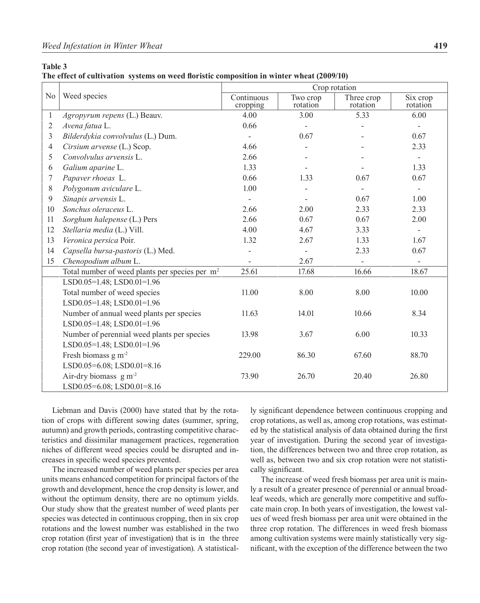### **Table 3**

**The effect of cultivation systems on weed floristic composition in winter wheat (2009/10)**

|                |                                                            | Crop rotation          |                      |                        |                          |  |  |  |
|----------------|------------------------------------------------------------|------------------------|----------------------|------------------------|--------------------------|--|--|--|
| No             | Weed species                                               | Continuous<br>cropping | Two crop<br>rotation | Three crop<br>rotation | Six crop<br>rotation     |  |  |  |
| $\mathbf{1}$   | Agropyrum repens (L.) Beauv.                               | 4.00                   | 3.00                 | 5.33                   | 6.00                     |  |  |  |
| $\overline{2}$ | Avena fatua L.                                             | 0.66                   |                      |                        |                          |  |  |  |
| 3              | Bilderdykia convolvulus (L.) Dum.                          |                        | 0.67                 |                        | 0.67                     |  |  |  |
| $\overline{4}$ | Cirsium arvense (L.) Scop.                                 | 4.66                   |                      |                        | 2.33                     |  |  |  |
| 5              | Convolvulus arvensis L.                                    | 2.66                   |                      |                        | $\overline{\phantom{a}}$ |  |  |  |
| 6              | Galium aparine L.                                          | 1.33                   |                      |                        | 1.33                     |  |  |  |
| 7              | Papaver rhoeas L.                                          | 0.66                   | 1.33                 | 0.67                   | 0.67                     |  |  |  |
| 8              | Polygonum aviculare L.                                     | 1.00                   |                      | $\blacksquare$         | $\overline{\phantom{a}}$ |  |  |  |
| 9              | Sinapis arvensis L.                                        |                        |                      | 0.67                   | 1.00                     |  |  |  |
| 10             | Sonchus oleraceus L.                                       | 2.66                   | 2.00                 | 2.33                   | 2.33                     |  |  |  |
| 11             | Sorghum halepense (L.) Pers                                | 2.66                   | 0.67                 | 0.67                   | 2.00                     |  |  |  |
| 12             | Stellaria media (L.) Vill.                                 | 4.00                   | 4.67                 | 3.33                   | $\overline{\phantom{a}}$ |  |  |  |
| 13             | Veronica persica Poir.                                     | 1.32                   | 2.67                 | 1.33                   | 1.67                     |  |  |  |
| 14             | Capsella bursa-pastoris (L.) Med.                          | $\overline{a}$         |                      | 2.33                   | 0.67                     |  |  |  |
| 15             | Chenopodium album L.                                       |                        | 2.67                 |                        |                          |  |  |  |
|                | Total number of weed plants per species per m <sup>2</sup> | 25.61                  | 17.68                | 16.66                  | 18.67                    |  |  |  |
|                | LSD0.05=1.48; LSD0.01=1.96                                 |                        |                      |                        |                          |  |  |  |
|                | Total number of weed species                               | 11.00                  | 8.00                 | 8.00                   | 10.00                    |  |  |  |
|                | LSD0.05=1.48; LSD0.01=1.96                                 |                        |                      |                        |                          |  |  |  |
|                | Number of annual weed plants per species                   | 11.63                  | 14.01                | 10.66                  | 8.34                     |  |  |  |
|                | LSD0.05=1.48; LSD0.01=1.96                                 |                        |                      |                        |                          |  |  |  |
|                | Number of perennial weed plants per species                | 13.98                  | 3.67                 | 6.00                   | 10.33                    |  |  |  |
|                | LSD0.05=1.48; LSD0.01=1.96                                 |                        |                      |                        |                          |  |  |  |
|                | Fresh biomass $g m-2$                                      | 229.00                 | 86.30                | 67.60                  | 88.70                    |  |  |  |
|                | LSD0.05=6.08; LSD0.01=8.16                                 |                        |                      |                        |                          |  |  |  |
|                | Air-dry biomass $g m-2$                                    | 73.90                  | 26.70                | 20.40                  | 26.80                    |  |  |  |
|                | LSD0.05=6.08; LSD0.01=8.16                                 |                        |                      |                        |                          |  |  |  |

Liebman and Davis (2000) have stated that by the rotation of crops with different sowing dates (summer, spring, autumn) and growth periods, contrasting competitive characteristics and dissimilar management practices, regeneration niches of different weed species could be disrupted and increases in specific weed species prevented.

The increased number of weed plants per species per area units means enhanced competition for principal factors of the growth and development, hence the crop density is lower, and without the optimum density, there are no optimum yields. Our study show that the greatest number of weed plants per species was detected in continuous cropping, then in six crop rotations and the lowest number was established in the two crop rotation (first year of investigation) that is in the three crop rotation (the second year of investigation). A statistically significant dependence between continuous cropping and crop rotations, as well as, among crop rotations, was estimated by the statistical analysis of data obtained during the first year of investigation. During the second year of investigation, the differences between two and three crop rotation, as well as, between two and six crop rotation were not statistically significant.

The increase of weed fresh biomass per area unit is mainly a result of a greater presence of perennial or annual broadleaf weeds, which are generally more competitive and suffocate main crop. In both years of investigation, the lowest values of weed fresh biomass per area unit were obtained in the three crop rotation. The differences in weed fresh biomass among cultivation systems were mainly statistically very significant, with the exception of the difference between the two